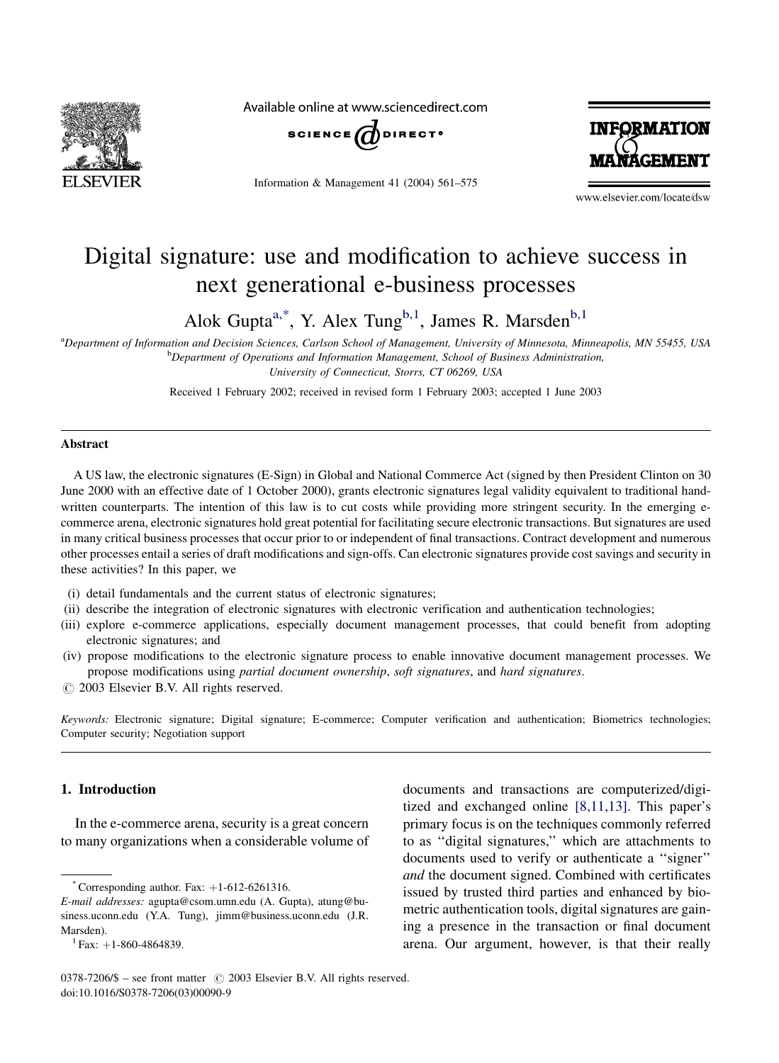

Available online at www.sciencedirect.com



Information & Management 41 (2004) 561–575



www.elsevier.com/locate/dsw

## Digital signature: use and modification to achieve success in next generational e-business processes

Alok Gupta<sup>a,\*</sup>, Y. Alex Tung<sup>b,1</sup>, James R. Marsden<sup>b,1</sup>

a Department of Information and Decision Sciences, Carlson School of Management, University of Minnesota, Minneapolis, MN 55455, USA **b** Department of Operations and Information Management, School of Business Administration, University of Connecticut, Storrs, CT 06269, USA

Received 1 February 2002; received in revised form 1 February 2003; accepted 1 June 2003

#### Abstract

A US law, the electronic signatures (E-Sign) in Global and National Commerce Act (signed by then President Clinton on 30 June 2000 with an effective date of 1 October 2000), grants electronic signatures legal validity equivalent to traditional handwritten counterparts. The intention of this law is to cut costs while providing more stringent security. In the emerging ecommerce arena, electronic signatures hold great potential for facilitating secure electronic transactions. But signatures are used in many critical business processes that occur prior to or independent of final transactions. Contract development and numerous other processes entail a series of draft modifications and sign-offs. Can electronic signatures provide cost savings and security in these activities? In this paper, we

- (i) detail fundamentals and the current status of electronic signatures;
- (ii) describe the integration of electronic signatures with electronic verification and authentication technologies;
- (iii) explore e-commerce applications, especially document management processes, that could benefit from adopting electronic signatures; and
- (iv) propose modifications to the electronic signature process to enable innovative document management processes. We propose modifications using partial document ownership, soft signatures, and hard signatures.
- $\odot$  2003 Elsevier B.V. All rights reserved.

Keywords: Electronic signature; Digital signature; E-commerce; Computer verification and authentication; Biometrics technologies; Computer security; Negotiation support

#### 1. Introduction

In the e-commerce arena, security is a great concern to many organizations when a considerable volume of documents and transactions are computerized/digitized and exchanged online [\[8,11,13\]](#page--1-0). This paper's primary focus is on the techniques commonly referred to as ''digital signatures,'' which are attachments to documents used to verify or authenticate a ''signer'' and the document signed. Combined with certificates issued by trusted third parties and enhanced by biometric authentication tools, digital signatures are gaining a presence in the transaction or final document arena. Our argument, however, is that their really

Corresponding author. Fax:  $+1-612-6261316$ .

E-mail addresses: agupta@csom.umn.edu (A. Gupta), atung@business.uconn.edu (Y.A. Tung), jimm@business.uconn.edu (J.R. Marsden).<br> ${}^{1}$ Fax:  $+1-860-4864839$ .

 $0378-7206/\$$  – see front matter  $\circ$  2003 Elsevier B.V. All rights reserved. doi:10.1016/S0378-7206(03)00090-9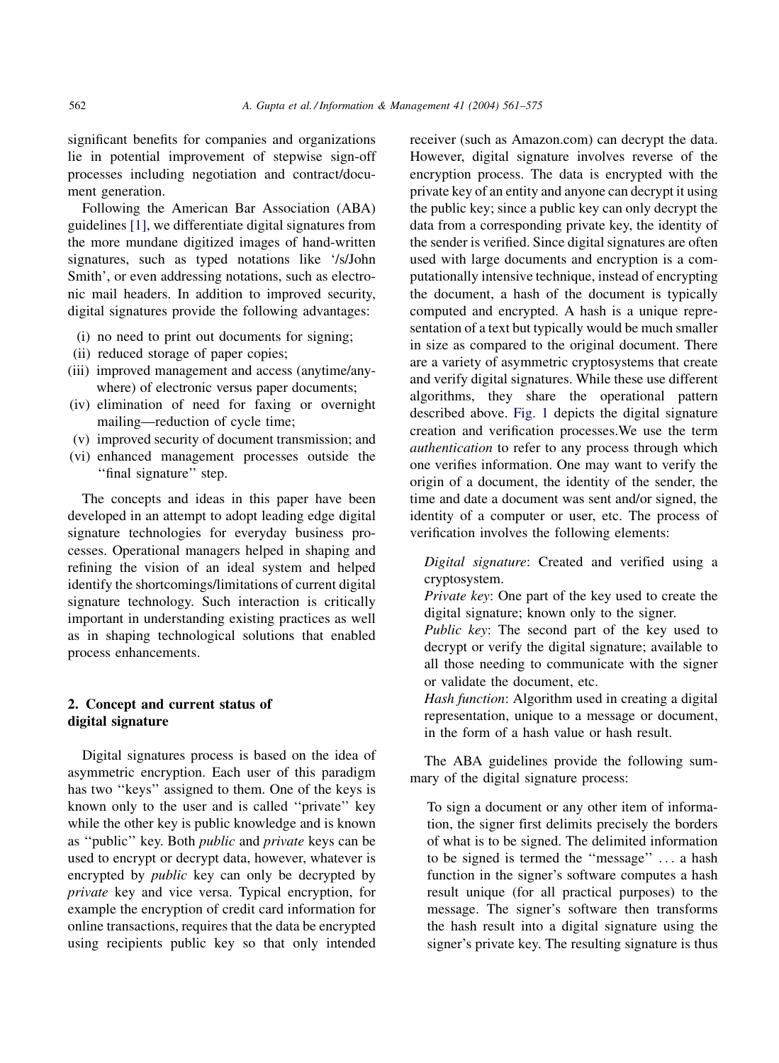significant benefits for companies and organizations lie in potential improvement of stepwise sign-off processes including negotiation and contract/document generation.

Following the American Bar Association (ABA) guidelines [\[1\],](#page--1-0) we differentiate digital signatures from the more mundane digitized images of hand-written signatures, such as typed notations like '/s/John Smith', or even addressing notations, such as electronic mail headers. In addition to improved security, digital signatures provide the following advantages:

- (i) no need to print out documents for signing;
- (ii) reduced storage of paper copies;
- (iii) improved management and access (anytime/anywhere) of electronic versus paper documents;
- (iv) elimination of need for faxing or overnight mailing—reduction of cycle time;
- (v) improved security of document transmission; and
- (vi) enhanced management processes outside the "final signature" step.

The concepts and ideas in this paper have been developed in an attempt to adopt leading edge digital signature technologies for everyday business processes. Operational managers helped in shaping and refining the vision of an ideal system and helped identify the shortcomings/limitations of current digital signature technology. Such interaction is critically important in understanding existing practices as well as in shaping technological solutions that enabled process enhancements.

### 2. Concept and current status of digital signature

Digital signatures process is based on the idea of asymmetric encryption. Each user of this paradigm has two ''keys'' assigned to them. One of the keys is known only to the user and is called ''private'' key while the other key is public knowledge and is known as ''public'' key. Both public and private keys can be used to encrypt or decrypt data, however, whatever is encrypted by public key can only be decrypted by private key and vice versa. Typical encryption, for example the encryption of credit card information for online transactions, requires that the data be encrypted using recipients public key so that only intended

receiver (such as Amazon.com) can decrypt the data. However, digital signature involves reverse of the encryption process. The data is encrypted with the private key of an entity and anyone can decrypt it using the public key; since a public key can only decrypt the data from a corresponding private key, the identity of the sender is verified. Since digital signatures are often used with large documents and encryption is a computationally intensive technique, instead of encrypting the document, a hash of the document is typically computed and encrypted. A hash is a unique representation of a text but typically would be much smaller in size as compared to the original document. There are a variety of asymmetric cryptosystems that create and verify digital signatures. While these use different algorithms, they share the operational pattern described above. [Fig. 1](#page--1-0) depicts the digital signature creation and verification processes.We use the term authentication to refer to any process through which one verifies information. One may want to verify the origin of a document, the identity of the sender, the time and date a document was sent and/or signed, the identity of a computer or user, etc. The process of verification involves the following elements:

Digital signature: Created and verified using a cryptosystem.

Private key: One part of the key used to create the digital signature; known only to the signer.

Public key: The second part of the key used to decrypt or verify the digital signature; available to all those needing to communicate with the signer or validate the document, etc.

Hash function: Algorithm used in creating a digital representation, unique to a message or document, in the form of a hash value or hash result.

The ABA guidelines provide the following summary of the digital signature process:

To sign a document or any other item of information, the signer first delimits precisely the borders of what is to be signed. The delimited information to be signed is termed the ''message'' ... a hash function in the signer's software computes a hash result unique (for all practical purposes) to the message. The signer's software then transforms the hash result into a digital signature using the signer's private key. The resulting signature is thus